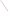